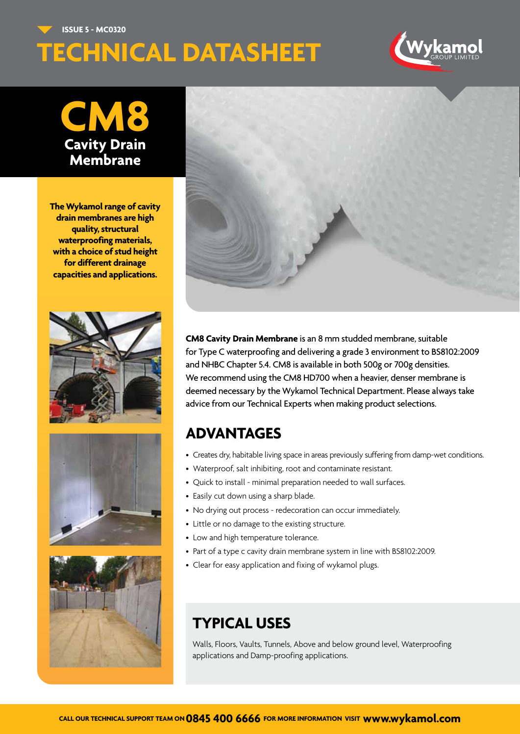**ISSUE 5 - MC0320**

## **TECHNICAL DATASHEET**



**CM8 Cavity Drain Membrane**

**The Wykamol range of cavity drain membranes are high quality, structural waterproofing materials, with a choice of stud height for different drainage capacities and applications.**









**CM8 Cavity Drain Membrane** is an 8 mm studded membrane, suitable for Type C waterproofing and delivering a grade 3 environment to BS8102:2009 and NHBC Chapter 5.4. CM8 is available in both 500g or 700g densities. We recommend using the CM8 HD700 when a heavier, denser membrane is deemed necessary by the Wykamol Technical Department. Please always take advice from our Technical Experts when making product selections.

## **ADVANTAGES**

- Creates dry, habitable living space in areas previously suffering from damp-wet conditions.
- Waterproof, salt inhibiting, root and contaminate resistant.
- Quick to install minimal preparation needed to wall surfaces.
- Easily cut down using a sharp blade.
- No drying out process redecoration can occur immediately.
- Little or no damage to the existing structure.
- Low and high temperature tolerance.
- Part of a type c cavity drain membrane system in line with BS8102:2009.
- Clear for easy application and fixing of wykamol plugs.

## **TYPICAL USES**

Walls, Floors, Vaults, Tunnels, Above and below ground level, Waterproofing applications and Damp-proofing applications.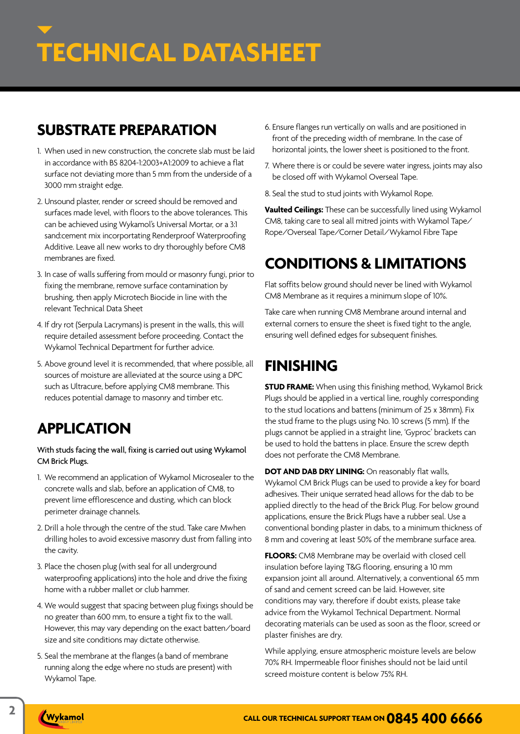## **SUBSTRATE PREPARATION**

- 1. When used in new construction, the concrete slab must be laid in accordance with BS 8204-1:2003+A1:2009 to achieve a flat surface not deviating more than 5 mm from the underside of a 3000 mm straight edge.
- 2. Unsound plaster, render or screed should be removed and surfaces made level, with floors to the above tolerances. This can be achieved using Wykamol's Universal Mortar, or a 3:1 sand:cement mix incorportating Renderproof Waterproofing Additive. Leave all new works to dry thoroughly before CM8 membranes are fixed.
- 3. In case of walls suffering from mould or masonry fungi, prior to fixing the membrane, remove surface contamination by brushing, then apply Microtech Biocide in line with the relevant Technical Data Sheet
- 4. If dry rot (Serpula Lacrymans) is present in the walls, this will require detailed assessment before proceeding. Contact the Wykamol Technical Department for further advice.
- 5. Above ground level it is recommended, that where possible, all sources of moisture are alleviated at the source using a DPC such as Ultracure, before applying CM8 membrane. This reduces potential damage to masonry and timber etc.

## **APPLICATION**

With studs facing the wall, fixing is carried out using Wykamol CM Brick Plugs.

- 1. We recommend an application of Wykamol Microsealer to the concrete walls and slab, before an application of CM8, to prevent lime efflorescence and dusting, which can block perimeter drainage channels.
- 2. Drill a hole through the centre of the stud. Take care Mwhen drilling holes to avoid excessive masonry dust from falling into the cavity.
- 3. Place the chosen plug (with seal for all underground waterproofing applications) into the hole and drive the fixing home with a rubber mallet or club hammer.
- 4. We would suggest that spacing between plug fixings should be no greater than 600 mm, to ensure a tight fix to the wall. However, this may vary depending on the exact batten/board size and site conditions may dictate otherwise.
- 5. Seal the membrane at the flanges (a band of membrane running along the edge where no studs are present) with Wykamol Tape.
- 6. Ensure flanges run vertically on walls and are positioned in front of the preceding width of membrane. In the case of horizontal joints, the lower sheet is positioned to the front.
- 7. Where there is or could be severe water ingress, joints may also be closed off with Wykamol Overseal Tape.
- 8. Seal the stud to stud joints with Wykamol Rope.

**Vaulted Ceilings:** These can be successfully lined using Wykamol CM8, taking care to seal all mitred joints with Wykamol Tape/ Rope/Overseal Tape/Corner Detail/Wykamol Fibre Tape

## **CONDITIONS & LIMITATIONS**

Flat soffits below ground should never be lined with Wykamol CM8 Membrane as it requires a minimum slope of 10%.

Take care when running CM8 Membrane around internal and external corners to ensure the sheet is fixed tight to the angle, ensuring well defined edges for subsequent finishes.

## **FINISHING**

**STUD FRAME:** When using this finishing method, Wykamol Brick Plugs should be applied in a vertical line, roughly corresponding to the stud locations and battens (minimum of 25 x 38mm). Fix the stud frame to the plugs using No. 10 screws (5 mm). If the plugs cannot be applied in a straight line, 'Gyproc' brackets can be used to hold the battens in place. Ensure the screw depth does not perforate the CM8 Membrane.

**DOT AND DAB DRY LINING:** On reasonably flat walls, Wykamol CM Brick Plugs can be used to provide a key for board adhesives. Their unique serrated head allows for the dab to be applied directly to the head of the Brick Plug. For below ground applications, ensure the Brick Plugs have a rubber seal. Use a conventional bonding plaster in dabs, to a minimum thickness of 8 mm and covering at least 50% of the membrane surface area.

**FLOORS:** CM8 Membrane may be overlaid with closed cell insulation before laying T&G flooring, ensuring a 10 mm expansion joint all around. Alternatively, a conventional 65 mm of sand and cement screed can be laid. However, site conditions may vary, therefore if doubt exists, please take advice from the Wykamol Technical Department. Normal decorating materials can be used as soon as the floor, screed or plaster finishes are dry.

While applying, ensure atmospheric moisture levels are below 70% RH. Impermeable floor finishes should not be laid until screed moisture content is below 75% RH.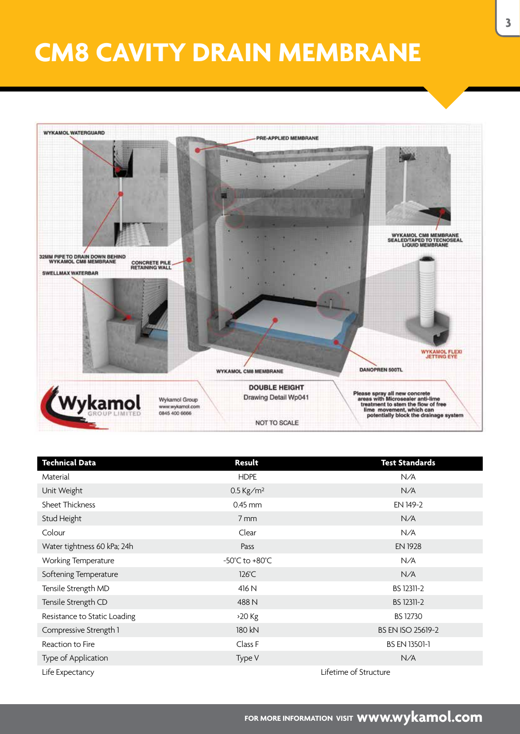## **CM8 CAVITY DRAIN MEMBRANE**



| <b>Technical Data</b>        | Result                  | <b>Test Standards</b>    |
|------------------------------|-------------------------|--------------------------|
| Material                     | <b>HDPE</b>             | N/A                      |
| Unit Weight                  | $0.5$ Kg/m <sup>2</sup> | N/A                      |
| <b>Sheet Thickness</b>       | $0.45$ mm               | EN 149-2                 |
| Stud Height                  | 7 mm                    | N/A                      |
| Colour                       | Clear                   | N/A                      |
| Water tightness 60 kPa; 24h  | Pass                    | <b>EN 1928</b>           |
| Working Temperature          | -50°C to +80°C          | N/A                      |
| Softening Temperature        | $126^{\circ}$ C         | N/A                      |
| Tensile Strength MD          | 416 N                   | BS 12311-2               |
| Tensile Strength CD          | 488 N                   | BS 12311-2               |
| Resistance to Static Loading | $>20$ Kg                | <b>BS 12730</b>          |
| Compressive Strength 1       | 180 kN                  | <b>BS EN ISO 25619-2</b> |
| Reaction to Fire             | Class F                 | BS EN 13501-1            |
| Type of Application          | Type V                  | N/A                      |
| Life Expectancy              | Lifetime of Structure   |                          |